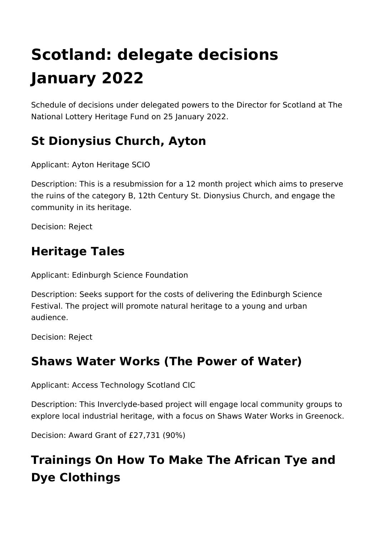# **Scotland: delegate decisions January 2022**

Schedule of decisions under delegated powers to the Director for Scotland at The National Lottery Heritage Fund on 25 January 2022.

### **St Dionysius Church, Ayton**

Applicant: Ayton Heritage SCIO

Description: This is a resubmission for a 12 month project which aims to preserve the ruins of the category B, 12th Century St. Dionysius Church, and engage the community in its heritage.

Decision: Reject

#### **Heritage Tales**

Applicant: Edinburgh Science Foundation

Description: Seeks support for the costs of delivering the Edinburgh Science Festival. The project will promote natural heritage to a young and urban audience.

Decision: Reject

#### **Shaws Water Works (The Power of Water)**

Applicant: Access Technology Scotland CIC

Description: This Inverclyde-based project will engage local community groups to explore local industrial heritage, with a focus on Shaws Water Works in Greenock.

Decision: Award Grant of £27,731 (90%)

# **Trainings On How To Make The African Tye and Dye Clothings**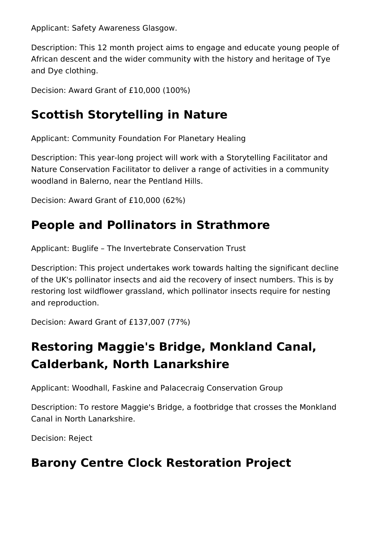Applicant: Safety Awareness Glasgow.

Description: This 12 month project aims to engage and educate young people of African descent and the wider community with the history and heritage of Tye and Dye clothing.

Decision: Award Grant of £10,000 (100%)

### **Scottish Storytelling in Nature**

Applicant: Community Foundation For Planetary Healing

Description: This year-long project will work with a Storytelling Facilitator and Nature Conservation Facilitator to deliver a range of activities in a community woodland in Balerno, near the Pentland Hills.

Decision: Award Grant of £10,000 (62%)

#### **People and Pollinators in Strathmore**

Applicant: Buglife – The Invertebrate Conservation Trust

Description: This project undertakes work towards halting the significant decline of the UK's pollinator insects and aid the recovery of insect numbers. This is by restoring lost wildflower grassland, which pollinator insects require for nesting and reproduction.

Decision: Award Grant of £137,007 (77%)

## **Restoring Maggie's Bridge, Monkland Canal, Calderbank, North Lanarkshire**

Applicant: Woodhall, Faskine and Palacecraig Conservation Group

Description: To restore Maggie's Bridge, a footbridge that crosses the Monkland Canal in North Lanarkshire.

Decision: Reject

#### **Barony Centre Clock Restoration Project**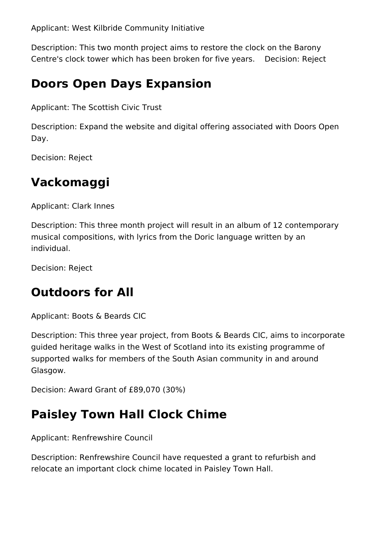Applicant: West Kilbride Community Initiative

Description: This two month project aims to restore the clock on the Barony Centre's clock tower which has been broken for five years. Decision: Reject

#### **Doors Open Days Expansion**

Applicant: The Scottish Civic Trust

Description: Expand the website and digital offering associated with Doors Open Day.

Decision: Reject

#### **Vackomaggi**

Applicant: Clark Innes

Description: This three month project will result in an album of 12 contemporary musical compositions, with lyrics from the Doric language written by an individual.

Decision: Reject

#### **Outdoors for All**

Applicant: Boots & Beards CIC

Description: This three year project, from Boots & Beards CIC, aims to incorporate guided heritage walks in the West of Scotland into its existing programme of supported walks for members of the South Asian community in and around Glasgow.

Decision: Award Grant of £89,070 (30%)

## **Paisley Town Hall Clock Chime**

Applicant: Renfrewshire Council

Description: Renfrewshire Council have requested a grant to refurbish and relocate an important clock chime located in Paisley Town Hall.